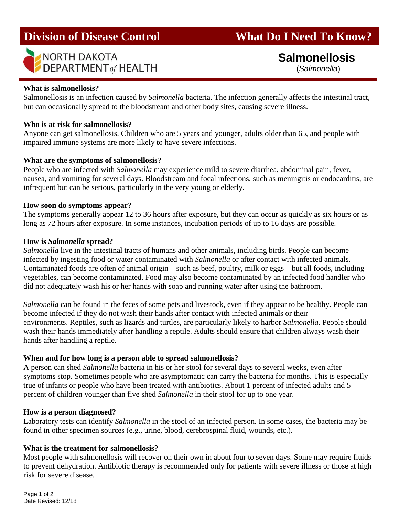

# **Division of Disease Control What Do I Need To Know?**

 **Salmonellosis** (*Salmonella*)

#### **What is salmonellosis?**

Salmonellosis is an infection caused by *Salmonella* bacteria. The infection generally affects the intestinal tract, but can occasionally spread to the bloodstream and other body sites, causing severe illness.

#### **Who is at risk for salmonellosis?**

Anyone can get salmonellosis. Children who are 5 years and younger, adults older than 65, and people with impaired immune systems are more likely to have severe infections.

#### **What are the symptoms of salmonellosis?**

People who are infected with *Salmonella* may experience mild to severe diarrhea, abdominal pain, fever, nausea, and vomiting for several days. Bloodstream and focal infections, such as meningitis or endocarditis, are infrequent but can be serious, particularly in the very young or elderly.

#### **How soon do symptoms appear?**

The symptoms generally appear 12 to 36 hours after exposure, but they can occur as quickly as six hours or as long as 72 hours after exposure. In some instances, incubation periods of up to 16 days are possible.

#### **How is** *Salmonella* **spread?**

*Salmonella* live in the intestinal tracts of humans and other animals, including birds. People can become infected by ingesting food or water contaminated with *Salmonella* or after contact with infected animals. Contaminated foods are often of animal origin – such as beef, poultry, milk or eggs – but all foods, including vegetables, can become contaminated. Food may also become contaminated by an infected food handler who did not adequately wash his or her hands with soap and running water after using the bathroom.

*Salmonella* can be found in the feces of some pets and livestock, even if they appear to be healthy. People can become infected if they do not wash their hands after contact with infected animals or their environments. Reptiles, such as lizards and turtles, are particularly likely to harbor *Salmonella*. People should wash their hands immediately after handling a reptile. Adults should ensure that children always wash their hands after handling a reptile.

#### **When and for how long is a person able to spread salmonellosis?**

A person can shed *Salmonella* bacteria in his or her stool for several days to several weeks, even after symptoms stop. Sometimes people who are asymptomatic can carry the bacteria for months. This is especially true of infants or people who have been treated with antibiotics. About 1 percent of infected adults and 5 percent of children younger than five shed *Salmonella* in their stool for up to one year.

#### **How is a person diagnosed?**

Laboratory tests can identify *Salmonella* in the stool of an infected person. In some cases, the bacteria may be found in other specimen sources (e.g., urine, blood, cerebrospinal fluid, wounds, etc.).

#### **What is the treatment for salmonellosis?**

Most people with salmonellosis will recover on their own in about four to seven days. Some may require fluids to prevent dehydration. Antibiotic therapy is recommended only for patients with severe illness or those at high risk for severe disease.